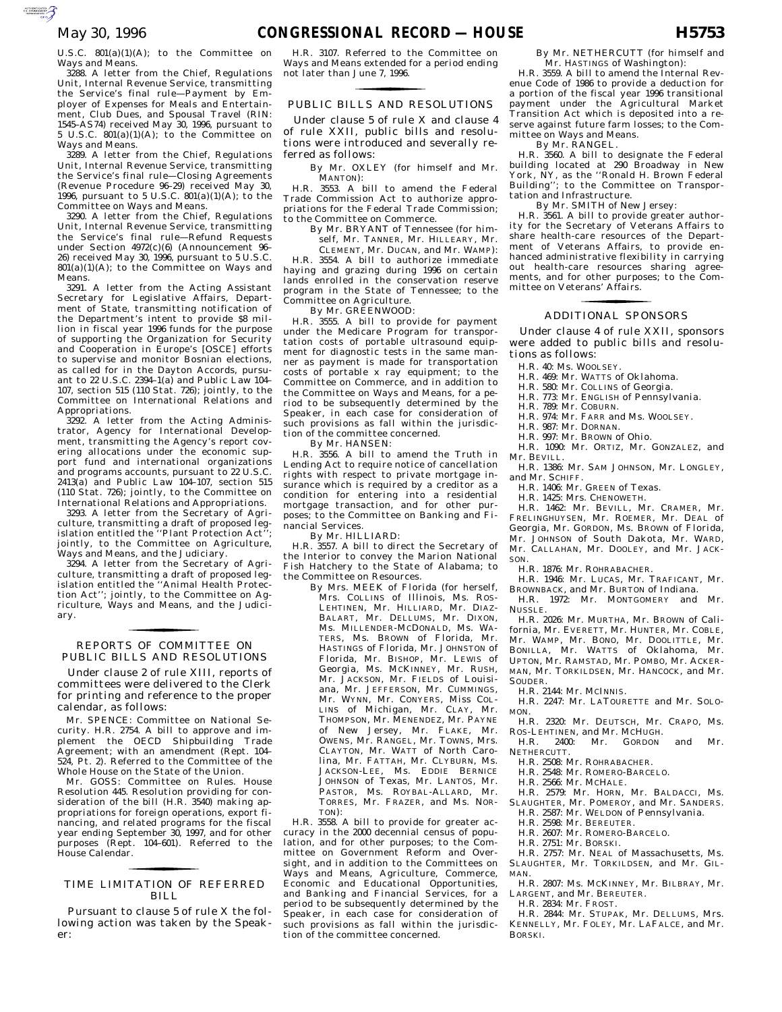U.S.C.  $801(a)(1)(A)$ ; to the Committee on Ways and Means.

3288. A letter from the Chief, Regulations Unit, Internal Revenue Service, transmitting the Service's final rule—Payment by Employer of Expenses for Meals and Entertainment, Club Dues, and Spousal Travel (RIN: 1545–AS74) received May 30, 1996, pursuant to 5 U.S.C. 801(a)(1)(A); to the Committee on Ways and Means.

3289. A letter from the Chief, Regulations Unit, Internal Revenue Service, transmitting the Service's final rule—Closing Agreements (Revenue Procedure 96–29) received May 30, 1996, pursuant to 5 U.S.C.  $801(a)(1)(A)$ ; to the Committee on Ways and Means.

3290. A letter from the Chief, Regulations Unit, Internal Revenue Service, transmitting the Service's final rule—Refund Requests under Section 4972(c)(6) (Announcement 96– 26) received May 30, 1996, pursuant to 5 U.S.C.  $801(a)(1)(A)$ ; to the Committee on Ways and Means.

3291. A letter from the Acting Assistant Secretary for Legislative Affairs, Department of State, transmitting notification of the Department's intent to provide \$8 million in fiscal year 1996 funds for the purpose of supporting the Organization for Security and Cooperation in Europe's [OSCE] efforts to supervise and monitor Bosnian elections, as called for in the Dayton Accords, pursuant to 22 U.S.C. 2394–1(a) and Public Law 104– 107, section 515 (110 Stat. 726); jointly, to the Committee on International Relations and Appropriations.

3292. A letter from the Acting Administrator, Agency for International Development, transmitting the Agency's report covering allocations under the economic support fund and international organizations and programs accounts, pursuant to 22 U.S.C.  $2413(a)$  and Public Law 104-107, section 515 (110 Stat. 726); jointly, to the Committee on International Relations and Appropriations.

3293. A letter from the Secretary of Agriculture, transmitting a draft of proposed legislation entitled the ''Plant Protection Act''; jointly, to the Committee on Agriculture, Ways and Means, and the Judiciary.

3294. A letter from the Secretary of Agriculture, transmitting a draft of proposed legislation entitled the ''Animal Health Protection Act''; jointly, to the Committee on Agriculture, Ways and Means, and the Judiciary.

# PUBLIC BILLS AND RESOLUTIONS REPORTS OF COMMITTEE ON for the control of the control of

Under clause 2 of rule XIII, reports of committees were delivered to the Clerk for printing and reference to the proper calendar, as follows:

Mr. SPENCE: Committee on National Security. H.R. 2754. A bill to approve and implement the OECD Shipbuilding Trade Agreement; with an amendment (Rept. 104– 524, Pt. 2). Referred to the Committee of the Whole House on the State of the Union.

Mr. GOSS: Committee on Rules. House Resolution 445. Resolution providing for consideration of the bill (H.R. 3540) making appropriations for foreign operations, export financing, and related programs for the fiscal year ending September 30, 1997, and for other purposes (Rept. 104–601). Referred to the House Calendar.

# TIME LIMITATION OF REFERRED for the control of the control of BILL

Pursuant to clause 5 of rule X the following action was taken by the Speaker:

H.R. 3107. Referred to the Committee on Ways and Means extended for a period ending not later than June 7, 1996.

# PUBLIC BILLS AND RESOLUTIONS for the control of the control of

Under clause 5 of rule X and clause 4 of rule XXII, public bills and resolutions were introduced and severally referred as follows:

By Mr. OXLEY (for himself and Mr. MANTON):

H.R. 3553. A bill to amend the Federal Trade Commission Act to authorize appropriations for the Federal Trade Commission; to the Committee on Commerce.

By Mr. BRYANT of Tennessee (for himself, Mr. TANNER, Mr. HILLEARY, Mr.

CLEMENT, Mr. DUCAN, and Mr. WAMP): H.R. 3554. A bill to authorize immediate haying and grazing during 1996 on certain lands enrolled in the conservation reserve program in the State of Tennessee; to the Committee on Agriculture.

By Mr. GREENWOOD:

H.R. 3555. A bill to provide for payment under the Medicare Program for transportation costs of portable ultrasound equipment for diagnostic tests in the same manner as payment is made for transportation costs of portable x ray equipment; to the Committee on Commerce, and in addition to the Committee on Ways and Means, for a period to be subsequently determined by the Speaker, in each case for consideration of such provisions as fall within the jurisdiction of the committee concerned.

By Mr. HANSEN:

H.R. 3556. A bill to amend the Truth in Lending Act to require notice of cancellation rights with respect to private mortgage insurance which is required by a creditor as a condition for entering into a residential mortgage transaction, and for other purposes; to the Committee on Banking and Financial Services.

By Mr. HILLIARD:

H.R. 3557. A bill to direct the Secretary of the Interior to convey the Marion National Fish Hatchery to the State of Alabama; to the Committee on Resources.

By Mrs. MEEK of Florida (for herself, Mrs. COLLINS of Illinois, Ms. ROS-LEHTINEN, Mr. HILLIARD, Mr. DIAZ-BALART, Mr. DELLUMS, Mr. DIXON, Ms. MILLENDER-MCDONALD, Ms. WA-TERS, Ms. BROWN of Florida, Mr. HASTINGS of Florida, Mr. JOHNSTON of Florida, Mr. BISHOP, Mr. LEWIS of Georgia, Ms. MCKINNEY, Mr. RUSH, Mr. JACKSON, Mr. FIELDS of Louisiana, Mr. JEFFERSON, Mr. CUMMINGS, Mr. WYNN, Mr. CONYERS, Miss COL-LINS of Michigan, Mr. CLAY, Mr. THOMPSON, Mr. MENENDEZ, Mr. PAYNE of New Jersey, Mr. FLAKE, Mr. OWENS, Mr. RANGEL, Mr. TOWNS, Mrs. CLAYTON, Mr. WATT of North Carolina, Mr. FATTAH, Mr. CLYBURN, Ms. JACKSON-LEE, Ms. EDDIE BERNICE JOHNSON of Texas, Mr. LANTOS, Mr. PASTOR, Ms. ROYBAL-ALLARD, Mr. TORRES, Mr. FRAZER, and Ms. NOR-TON):

H.R. 3558. A bill to provide for greater accuracy in the 2000 decennial census of population, and for other purposes; to the Committee on Government Reform and Oversight, and in addition to the Committees on Ways and Means, Agriculture, Commerce, Economic and Educational Opportunities, and Banking and Financial Services, for a period to be subsequently determined by the Speaker, in each case for consideration of such provisions as fall within the jurisdiction of the committee concerned.

By Mr. NETHERCUTT (for himself and Mr. HASTINGS of Washington):

H.R. 3559. A bill to amend the Internal Revenue Code of 1986 to provide a deduction for a portion of the fiscal year 1996 transitional payment under the Agricultural Market Transition Act which is deposited into a reserve against future farm losses; to the Committee on Ways and Means.

By Mr. RANGEL.

H.R. 3560. A bill to designate the Federal building located at 290 Broadway in New York, NY, as the ''Ronald H. Brown Federal Building''; to the Committee on Transportation and Infrastructure.

By Mr. SMITH of New Jersey:

H.R. 3561. A bill to provide greater authority for the Secretary of Veterans Affairs to share health-care resources of the Department of Veterans Affairs, to provide enhanced administrative flexibility in carrying out health-care resources sharing agreements, and for other purposes; to the Committee on Veterans' Affairs.

# ADDITIONAL SPONSORS for the contract of the contract of

Under clause 4 of rule XXII, sponsors were added to public bills and resolutions as follows:

H.R. 40: Ms. WOOLSEY.

- H.R. 469: Mr. WATTS of Oklahoma.
- H.R. 580: Mr. COLLINS of Georgia.
- H.R. 773: Mr. ENGLISH of Pennsylvania.
- H.R. 789: Mr. COBURN.
- H.R. 974: Mr. FARR and Ms. WOOLSEY.
- H.R. 987: Mr. DORNAN.

H.R. 997: Mr. BROWN of Ohio.

H.R. 1090: Mr. ORTIZ, Mr. GONZALEZ, and Mr. BEVILL.

H.R. 1386: Mr. SAM JOHNSON, Mr. LONGLEY, and Mr. SCHIFF.

H.R. 1406: Mr. GREEN of Texas.

H.R. 1425: Mrs. CHENOWETH.

H.R. 1462: Mr. BEVILL, Mr. CRAMER, Mr. FRELINGHUYSEN, Mr. ROEMER, Mr. DEAL of Georgia, Mr. GORDON, Ms. BROWN of Florida, Mr. JOHNSON of South Dakota, Mr. WARD, Mr. CALLAHAN, Mr. DOOLEY, and Mr. JACK-SON.

H.R. 1876: Mr. ROHRABACHER.

H.R. 1946: Mr. LUCAS, Mr. TRAFICANT, Mr. BROWNBACK, and Mr. BURTON of Indiana.

H.R. 1972: Mr. MONTGOMERY and Mr. NUSSLE.

H.R. 2026: Mr. MURTHA, Mr. BROWN of California, Mr. EVERETT, Mr. HUNTER, Mr. COBLE, Mr. WAMP, Mr. BONO, Mr. DOOLITTLE, Mr. BONILLA, Mr. WATTS of Oklahoma, Mr. UPTON, Mr. RAMSTAD, Mr. POMBO, Mr. ACKER-MAN, Mr. TORKILDSEN, Mr. HANCOCK, and Mr. SOUDER.

H.R. 2144: Mr. MCINNIS.

H.R. 2247: Mr. LATOURETTE and Mr. SOLO-MON.

- H.R. 2320: Mr. DEUTSCH, Mr. CRAPO, Ms. ROS-LEHTINEN, and Mr. MCHUGH.
- H.R. 2400: Mr. GORDON and Mr. NETHERCUTT.
	- H.R. 2508: Mr. ROHRABACHER.
	- H.R. 2548: Mr. ROMERO-BARCELO.
- H.R. 2566: Mr. MCHALE.

H.R. 2579: Mr. HORN, Mr. BALDACCI, Ms. SLAUGHTER, Mr. POMEROY, and Mr. SANDERS.

- H.R. 2587: Mr. WELDON of Pennsylvania.
- H.R. 2598: Mr. BEREUTER.
- H.R. 2607: Mr. ROMERO-BARCELO.
- H.R. 2751: Mr. BORSKI.

H.R. 2757: Mr. NEAL of Massachusetts, Ms. SLAUGHTER, Mr. TORKILDSEN, and Mr. GIL-MAN.

H.R. 2807: Ms. MCKINNEY, Mr. BILBRAY, Mr. LARGENT, and Mr. BEREUTER.

H.R. 2834: Mr. FROST.

H.R. 2844: Mr. STUPAK, Mr. DELLUMS, Mrs. KENNELLY, Mr. FOLEY, Mr. LAFALCE, and Mr. BORSKI.